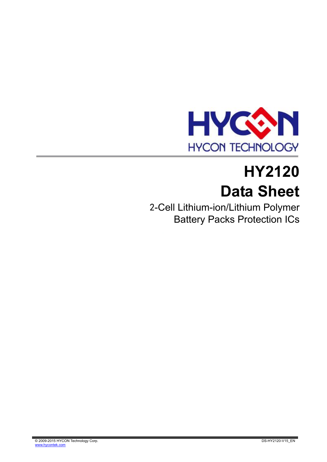

# **HY2120 Data Sheet**

2-Cell Lithium-ion/Lithium Polymer Battery Packs Protection ICs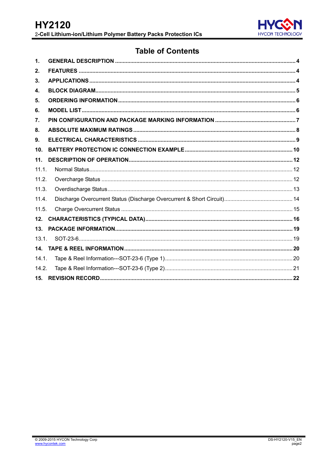

### **Table of Contents**

| 1.    |  |
|-------|--|
| 2.    |  |
| 3.    |  |
| 4.    |  |
| 5.    |  |
| 6.    |  |
| 7.    |  |
| 8.    |  |
| 9.    |  |
| 10.   |  |
| 11.   |  |
| 11.1. |  |
| 11.2. |  |
| 11.3. |  |
| 11.4. |  |
| 11.5. |  |
| 12.   |  |
| 13.   |  |
| 13.1. |  |
|       |  |
| 14.1. |  |
| 14.2. |  |
|       |  |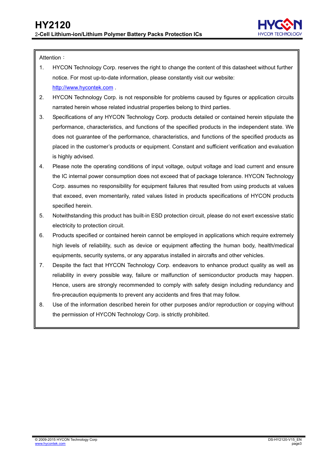

Attention:

- 1. HYCON Technology Corp. reserves the right to change the content of this datasheet without further notice. For most up-to-date information, please constantly visit our website: [http://www.hycontek.com](http://www.hycontek.com/) .
- 2. HYCON Technology Corp. is not responsible for problems caused by figures or application circuits narrated herein whose related industrial properties belong to third parties.
- 3. Specifications of any HYCON Technology Corp. products detailed or contained herein stipulate the performance, characteristics, and functions of the specified products in the independent state. We does not guarantee of the performance, characteristics, and functions of the specified products as placed in the customer's products or equipment. Constant and sufficient verification and evaluation is highly advised.
- 4. Please note the operating conditions of input voltage, output voltage and load current and ensure the IC internal power consumption does not exceed that of package tolerance. HYCON Technology Corp. assumes no responsibility for equipment failures that resulted from using products at values that exceed, even momentarily, rated values listed in products specifications of HYCON products specified herein.
- 5. Notwithstanding this product has built-in ESD protection circuit, please do not exert excessive static electricity to protection circuit.
- 6. Products specified or contained herein cannot be employed in applications which require extremely .high levels of reliability, such as device or equipment affecting the human body, health/medical equipments, security systems, or any apparatus installed in aircrafts and other vehicles.
- 7. Despite the fact that HYCON Technology Corp. endeavors to enhance product quality as well as reliability in every possible way, failure or malfunction of semiconductor products may happen. Hence, users are strongly recommended to comply with safety design including redundancy and fire-precaution equipments to prevent any accidents and fires that may follow.
- 8. Use of the information described herein for other purposes and/or reproduction or copying without the permission of HYCON Technology Corp. is strictly prohibited.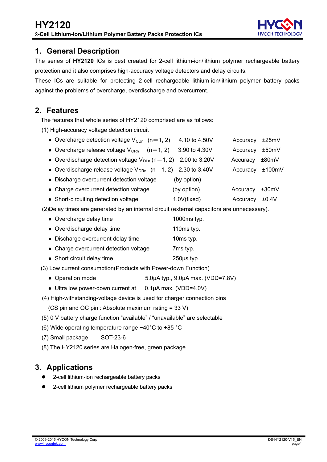

### <span id="page-3-0"></span>**1. General Description**

The series of **HY2120** ICs is best created for 2-cell lithium-ion/lithium polymer rechargeable battery protection and it also comprises high-accuracy voltage detectors and delay circuits.

These ICs are suitable for protecting 2-cell rechargeable lithium-ion/lithium polymer battery packs against the problems of overcharge, overdischarge and overcurrent.

### <span id="page-3-1"></span>**2. Features**

The features that whole series of HY2120 comprised are as follows:

(1) High-accuracy voltage detection circuit

| • Overcharge detection voltage $V_{\text{CUn}}$ (n=1, 2)                                    | 4.10 to 4.50V | Accuracy | ±25mV  |
|---------------------------------------------------------------------------------------------|---------------|----------|--------|
| • Overcharge release voltage $V_{CRn}$ (n=1, 2)                                             | 3.90 to 4.30V | Accuracy | ±50mV  |
| • Overdischarge detection voltage $V_{DLn}$ (n=1, 2) 2.00 to 3.20V                          |               | Accuracy | ±80mV  |
| • Overdischarge release voltage $V_{DRn}$ (n=1, 2) 2.30 to 3.40V                            |               | Accuracy | ±100mV |
| • Discharge overcurrent detection voltage                                                   | (by option)   |          |        |
| • Charge overcurrent detection voltage                                                      | (by option)   | Accuracy | ±30mV  |
| • Short-circuiting detection voltage                                                        | 1.0V(fixed)   | Accuracy | ±0.4V  |
| (2) Delay times are generated by an internal circuit (external capacitors are unnecessary). |               |          |        |

- Overcharge delay time 1000ms typ. • Overdischarge delay time 110ms typ.
- Discharge overcurrent delay time 10ms typ.
- Charge overcurrent detection voltage 7ms typ.
- Short circuit delay time 250μs typ.

(3) Low current consumption(Products with Power-down Function)

- Operation mode 5.0μA typ., 9.0μA max. (VDD=7.8V)
- Ultra low power-down current at 0.1μA max. (VDD=4.0V)

(4) High-withstanding-voltage device is used for charger connection pins

(CS pin and OC pin : Absolute maximum rating = 33 V)

- (5) 0 V battery charge function "available" / "unavailable" are selectable
- (6) Wide operating temperature range −40°C to +85 °C
- (7) Small package SOT-23-6
- (8) The HY2120 series are Halogen-free, green package

### <span id="page-3-2"></span>**3. Applications**

- 2-cell lithium-ion rechargeable battery packs
- 2-cell lithium polymer rechargeable battery packs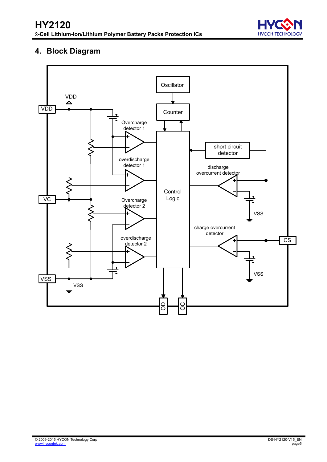

### **4. Block Diagram**

<span id="page-4-0"></span>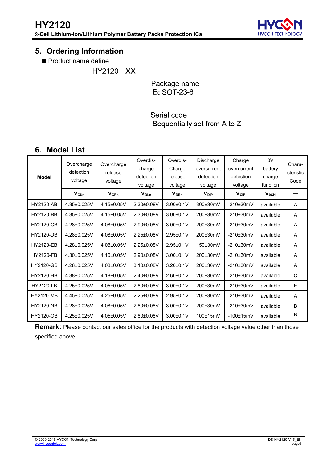

### <span id="page-5-0"></span>**5. Ordering Information**

Product name define



### **6. Model List**

<span id="page-5-1"></span>

| <b>Model</b>     | Overcharge<br>detection<br>voltage<br>$V_{\text{CUn}}$ | Overcharge<br>release<br>voltage<br><b>V<sub>CRn</sub></b> | Overdis-<br>charge<br>detection<br>voltage<br>$V_{DLn}$ | Overdis-<br>Charge<br>release<br>voltage<br><b>V</b> <sub>DRn</sub> | Discharge<br>overcurrent<br>detection<br>voltage<br><b>V</b> <sub>DIP</sub> | Charge<br>overcurrent<br>detection<br>voltage<br>$V_{CIP}$ | 0V<br>battery<br>charge<br>function<br>$V_{0CH}$ | Chara-<br>cteristic<br>Code |
|------------------|--------------------------------------------------------|------------------------------------------------------------|---------------------------------------------------------|---------------------------------------------------------------------|-----------------------------------------------------------------------------|------------------------------------------------------------|--------------------------------------------------|-----------------------------|
| <b>HY2120-AB</b> | 4.35±0.025V                                            | 4.15±0.05V                                                 | 2.30±0.08V                                              | $3.00 \pm 0.1$ V                                                    | 300±30mV                                                                    | $-210\pm30$ mV                                             | available                                        | A                           |
| <b>HY2120-BB</b> | 4.35±0.025V                                            | 4.15±0.05V                                                 | $2.30\pm0.08V$                                          | $3.00 \pm 0.1 V$                                                    | 200±30mV                                                                    | $-210\pm30$ mV                                             | available                                        | A                           |
| <b>HY2120-CB</b> | 4.28±0.025V                                            | 4.08±0.05V                                                 | 2.90±0.08V                                              | $3.00 + 0.1V$                                                       | 200±30mV                                                                    | $-210\pm30$ mV                                             | available                                        | A                           |
| <b>HY2120-DB</b> | 4.28±0.025V                                            | 4.08±0.05V                                                 | 2.25±0.08V                                              | $2.95 \pm 0.1$ V                                                    | 200±30mV                                                                    | $-210\pm30$ mV                                             | available                                        | A                           |
| <b>HY2120-EB</b> | 4.28±0.025V                                            | 4.08±0.05V                                                 | $2.25 \pm 0.08V$                                        | $2.95 \pm 0.1 V$                                                    | 150±30mV                                                                    | $-210\pm30$ mV                                             | available                                        | A                           |
| <b>HY2120-FB</b> | 4.30±0.025V                                            | 4.10±0.05V                                                 | 2.90±0.08V                                              | $3.00 + 0.1V$                                                       | 200±30mV                                                                    | $-210\pm30$ mV                                             | available                                        | A                           |
| <b>HY2120-GB</b> | 4.28±0.025V                                            | 4.08±0.05V                                                 | $3.10\pm0.08V$                                          | $3.20 \pm 0.1$ V                                                    | 200±30mV                                                                    | $-210\pm30$ mV                                             | available                                        | A                           |
| <b>HY2120-HB</b> | 4.38±0.025V                                            | 4.18±0.05V                                                 | $2.40\pm0.08V$                                          | $2.60 + 0.1V$                                                       | 200±30mV                                                                    | $-210\pm30$ mV                                             | available                                        | C                           |
| <b>HY2120-LB</b> | 4.25±0.025V                                            | 4.05±0.05V                                                 | $2.80 \pm 0.08$ V                                       | $3.00 \pm 0.1$ V                                                    | 200±30mV                                                                    | $-210\pm30$ mV                                             | available                                        | E                           |
| <b>HY2120-MB</b> | 4.45±0.025V                                            | 4.25±0.05V                                                 | 2.25±0.08V                                              | $2.95 \pm 0.1 V$                                                    | 200±30mV                                                                    | $-210\pm30$ mV                                             | available                                        | A                           |
| <b>HY2120-NB</b> | 4.28±0.025V                                            | 4.08±0.05V                                                 | 2.80±0.08V                                              | $3.00 + 0.1V$                                                       | 200±30mV                                                                    | $-210\pm30$ mV                                             | available                                        | B                           |
| HY2120-OB        | 4.25±0.025V                                            | 4.05±0.05V                                                 | 2.80±0.08V                                              | $3.00 + 0.1V$                                                       | 100±15mV                                                                    | $-100±15mV$                                                | available                                        | B                           |

**Remark:** Please contact our sales office for the products with detection voltage value other than those specified above.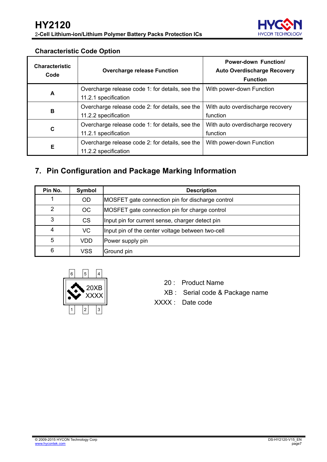

#### **Characteristic Code Option**

| <b>Characteristic</b><br>Code | <b>Overcharge release Function</b>              | <b>Power-down Function/</b><br><b>Auto Overdischarge Recovery</b><br><b>Function</b> |
|-------------------------------|-------------------------------------------------|--------------------------------------------------------------------------------------|
| A                             | Overcharge release code 1: for details, see the | With power-down Function                                                             |
|                               | 11.2.1 specification                            |                                                                                      |
| B                             | Overcharge release code 2: for details, see the | With auto overdischarge recovery                                                     |
|                               | 11.2.2 specification                            | function                                                                             |
| C                             | Overcharge release code 1: for details, see the | With auto overdischarge recovery                                                     |
|                               | 11.2.1 specification                            | function                                                                             |
|                               | Overcharge release code 2: for details, see the | With power-down Function                                                             |
| Е                             | 11.2.2 specification                            |                                                                                      |

## <span id="page-6-0"></span>**7. Pin Configuration and Package Marking Information**

| Pin No.       | Symbol    | <b>Description</b>                               |
|---------------|-----------|--------------------------------------------------|
|               | <b>OD</b> | MOSFET gate connection pin for discharge control |
| $\mathcal{P}$ | <b>OC</b> | MOSFET gate connection pin for charge control    |
| 3             | <b>CS</b> | Input pin for current sense, charger detect pin  |
| 4             | <b>VC</b> | Input pin of the center voltage between two-cell |
| 5             | VDD       | Power supply pin                                 |
| 6             | VSS       | Ground pin                                       |



- 20 : Product Name
- XB : Serial code & Package name
- XXXX : Date code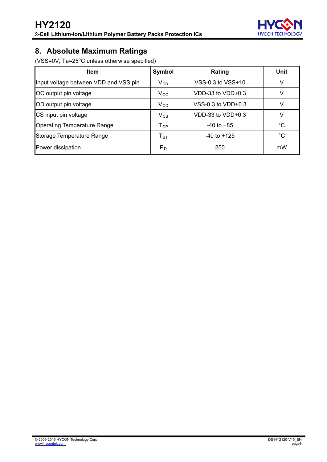

### <span id="page-7-0"></span>**8. Absolute Maximum Ratings**

(VSS=0V, Ta=25**°**C unless otherwise specified)

| <b>Item</b>                           | Symbol                     | Rating                | <b>Unit</b> |
|---------------------------------------|----------------------------|-----------------------|-------------|
| Input voltage between VDD and VSS pin | $V_{DD}$                   | VSS-0.3 to VSS+10     | V           |
| OC output pin voltage                 | $V_{OC}$                   | $VDD-33$ to $VDD+0.3$ | v           |
| OD output pin voltage                 | $V_{OD}$                   | VSS-0.3 to VDD+0.3    | V           |
| CS input pin voltage                  | $V_{CS}$                   | $VDD-33$ to $VDD+0.3$ | v           |
| <b>Operating Temperature Range</b>    | $T_{OP}$                   | $-40$ to $+85$        | $^{\circ}C$ |
| Storage Temperature Range             | $\mathsf{T}_{\texttt{ST}}$ | $-40$ to $+125$       | $^{\circ}C$ |
| Power dissipation                     | $P_D$                      | 250                   | mW          |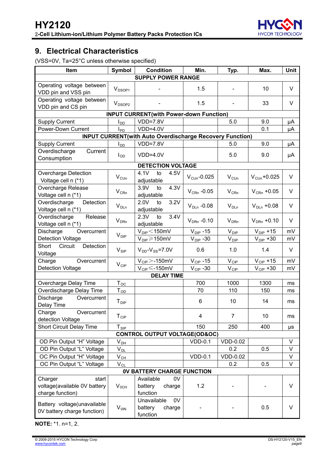

### <span id="page-8-0"></span>**9. Electrical Characteristics**

(VSS=0V, Ta=25°C unless otherwise specified)

| Item                                                   | Symbol                       | <b>Condition</b>                                                | Min.                  | Typ.                   | Max.                                          | <b>Unit</b> |
|--------------------------------------------------------|------------------------------|-----------------------------------------------------------------|-----------------------|------------------------|-----------------------------------------------|-------------|
|                                                        |                              | <b>SUPPLY POWER RANGE</b>                                       |                       |                        |                                               |             |
| Operating voltage between<br>VDD pin and VSS pin       | $V_{DSOP1}$                  |                                                                 | 1.5                   |                        | 10                                            | V           |
| Operating voltage between<br>VDD pin and CS pin        | V <sub>DSOP2</sub>           |                                                                 | 1.5                   |                        | 33                                            | $\vee$      |
|                                                        |                              | <b>INPUT CURRENT(with Power-down Function)</b>                  |                       |                        |                                               |             |
| <b>Supply Current</b>                                  | $I_{DD}$                     | $VDD=7.8V$                                                      |                       | 5.0                    | 9.0                                           | μA          |
| Power-Down Current                                     | $I_{PD}$                     | $VDD=4.0V$                                                      |                       |                        | 0.1                                           | μA          |
|                                                        |                              | <b>INPUT CURRENT(with Auto Overdischarge Recovery Function)</b> |                       |                        |                                               |             |
| <b>Supply Current</b>                                  | l <sub>DD</sub>              | VDD=7.8V                                                        |                       | 5.0                    | 9.0                                           | μA          |
| Overdischarge<br>Current                               | $I_{OD}$                     | $VDD=4.0V$                                                      |                       | 5.0                    | 9.0                                           | μA          |
| Consumption                                            |                              |                                                                 |                       |                        |                                               |             |
|                                                        |                              | <b>DETECTION VOLTAGE</b>                                        |                       |                        |                                               |             |
| <b>Overcharge Detection</b><br>Voltage cell n (*1)     | $V_{\text{CUn}}$             | 4.1V<br>4.5V<br>to<br>adjustable                                | $VCUn-0.025$          | $V_{\text{CUn}}$       | $V_{\text{CUn}}$ +0.025                       | V           |
| Overcharge Release<br>Voltage cell n (*1)              | $V_{CRn}$                    | 3.9V<br>4.3V<br>to<br>adjustable                                | $V_{CRn}$ -0.05       | $V_{CRn}$              | $V_{CRn}$ +0.05                               | V           |
| Detection<br>Overdischarge<br>Voltage cell n (*1)      | $\mathsf{V}_{\mathsf{DLn}}$  | 3.2V<br>2.0V<br>to<br>adjustable                                | $V_{DLn}$ -0.08       | $V_{DLn}$              | $V_{DLn}$ +0.08                               | $\vee$      |
| Overdischarge<br>Release                               | $V_{DRn}$                    | 3.4V<br>2.3V<br>to                                              | $V_{DRn}$ -0.10       | $V_{DRn}$              | $V_{DRn}$ +0.10                               | V           |
| Voltage cell n (*1)<br>Discharge<br>Overcurrent        |                              | adjustable                                                      | $V_{\text{DIP}} - 15$ | $V_{\text{DIP}}$       |                                               | mV          |
| <b>Detection Voltage</b>                               | $V_{\text{DIP}}$             | $V_{\text{DIP}}$ $<$ 150mV<br>$V_{DP} \geq 150$ mV              | $V_{\text{DIP}} - 30$ | $V_{\text{DIP}}$       | $V_{\text{DIP}}$ +15<br>$V_{\text{DIP}} + 30$ | mV          |
| Circuit<br>Detection<br>Short<br>Voltage               | $V_{\rm SIP}$                | $V_{DD}$ - $V_{SS}$ =7.0V                                       | 0.6                   | 1.0                    | 1.4                                           | V           |
| Charge<br>Overcurrent                                  |                              | $V_{\text{CIP}}$ $>$ -150mV                                     | $V_{CIP}$ -15         | $V_{CIP}$              | $V_{CP}$ +15                                  | mV          |
| <b>Detection Voltage</b>                               | $V_{\text{CIP}}$             | $V_{\text{CIP}} \leq 150$ mV                                    | $V_{CP}$ -30          | $V_{\text{CIP}}$       | $V_{CIP}$ +30                                 | mV          |
|                                                        |                              | <b>DELAY TIME</b>                                               |                       |                        |                                               |             |
| Overcharge Delay Time                                  | $T_{OC}$                     |                                                                 | 700                   | 1000                   | 1300                                          | ms          |
| Overdischarge Delay Time                               | $\mathsf{T}_{\mathsf{OD}}$   |                                                                 | 70                    | 110                    | 150                                           | ms          |
| Discharge<br>Overcurrent                               | $T_{\text{DIP}}$             |                                                                 | 6                     | 10                     | 14                                            | ms          |
| Delay Time                                             |                              |                                                                 |                       |                        |                                               |             |
| Charge<br>Overcurrent                                  | $T_{\text{CIP}}$             |                                                                 | 4                     | 7                      | 10                                            | ms          |
| detection Voltage                                      |                              |                                                                 |                       |                        |                                               |             |
| <b>Short Circuit Delay Time</b>                        | $T_{\underline{\text{SIP}}}$ |                                                                 | 150                   | 250                    | 400                                           | μs          |
|                                                        |                              | <b>CONTROL OUTPUT VOLTAGE(OD&amp;OC)</b>                        | $VDD-0.1$             |                        |                                               |             |
| OD Pin Output "H" Voltage<br>OD Pin Output "L" Voltage | $V_{D\underline{H}}$         |                                                                 |                       | <b>VDD-0.02</b><br>0.2 | 0.5                                           | V<br>V      |
| OC Pin Output "H" Voltage                              | $V_{DL}$                     |                                                                 | $VDD-0.1$             | <b>VDD-0.02</b>        |                                               | V           |
| OC Pin Output "L" Voltage                              | $V_{C\underline{H}}$         |                                                                 |                       | 0.2                    | 0.5                                           | V           |
|                                                        | $V_{CL}$                     | <b>OV BATTERY CHARGE FUNCTION</b>                               |                       |                        |                                               |             |
| Charger<br>start                                       |                              | Available<br>0V                                                 |                       |                        |                                               |             |
| voltage(available 0V battery                           | $V_{0CH}$                    | battery<br>charge                                               | 1.2                   |                        |                                               | V           |
| charge function)                                       |                              | function                                                        |                       |                        |                                               |             |
|                                                        |                              | 0V<br>Unavailable                                               |                       |                        |                                               |             |
| Battery voltage(unavailable                            | V <sub>OIN</sub>             | battery<br>charge                                               |                       |                        | 0.5                                           | V           |
| OV battery charge function)                            |                              | function                                                        |                       |                        |                                               |             |

**NOTE:** \*1. n=1, 2.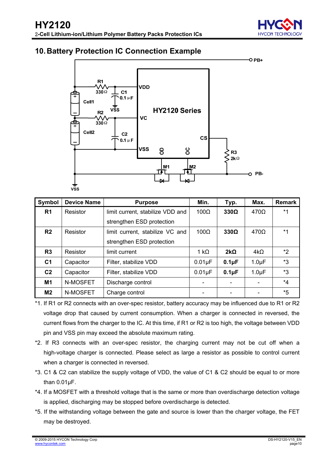

### <span id="page-9-0"></span>**10. Battery Protection IC Connection Example**



| Symbol         | <b>Device Name</b> | <b>Purpose</b>                   | Min.         | Typ.        | Max.               | <b>Remark</b> |
|----------------|--------------------|----------------------------------|--------------|-------------|--------------------|---------------|
| R <sub>1</sub> | Resistor           | limit current, stabilize VDD and | $100\Omega$  | $330\Omega$ | $470\Omega$        | $*1$          |
|                |                    | strengthen ESD protection        |              |             |                    |               |
| R <sub>2</sub> | Resistor           | limit current, stabilize VC and  | $100\Omega$  | $330\Omega$ | $470\Omega$        | *1            |
|                |                    | strengthen ESD protection        |              |             |                    |               |
| R <sub>3</sub> | Resistor           | limit current                    | 1 k $\Omega$ | $2k\Omega$  | $4k\Omega$         | *2            |
| C <sub>1</sub> | Capacitor          | Filter, stabilize VDD            | $0.01\mu F$  | $0.1 \mu F$ | $1.0 \mu F$        | *3            |
| C <sub>2</sub> | Capacitor          | Filter, stabilize VDD            | $0.01\mu F$  | $0.1\mu F$  | 1.0 <sub>µ</sub> F | $*3$          |
| M1             | N-MOSFET           | Discharge control                |              |             |                    | *4            |
| M <sub>2</sub> | N-MOSFET           | Charge control                   |              |             |                    | $*5$          |

- \*1. If R1 or R2 connects with an over-spec resistor, battery accuracy may be influenced due to R1 or R2 voltage drop that caused by current consumption. When a charger is connected in reversed, the current flows from the charger to the IC. At this time, if R1 or R2 is too high, the voltage between VDD pin and VSS pin may exceed the absolute maximum rating.
- \*2. If R3 connects with an over-spec resistor, the charging current may not be cut off when a high-voltage charger is connected. Please select as large a resistor as possible to control current when a charger is connected in reversed.
- \*3. C1 & C2 can stabilize the supply voltage of VDD, the value of C1 & C2 should be equal to or more than 0.01μF.
- \*4. If a MOSFET with a threshold voltage that is the same or more than overdischarge detection voltage is applied, discharging may be stopped before overdischarge is detected.
- \*5. If the withstanding voltage between the gate and source is lower than the charger voltage, the FET may be destroyed.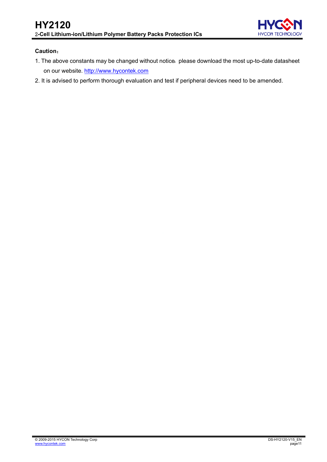

#### **Caution**:

- 1. The above constants may be changed without notice, please download the most up-to-date datasheet on our website. [http://www.hycontek.com](http://www.hycontek.com/)
- 2. It is advised to perform thorough evaluation and test if peripheral devices need to be amended.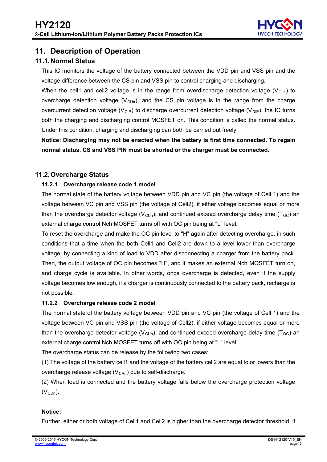

### <span id="page-11-0"></span>**11. Description of Operation**

#### <span id="page-11-1"></span>**11.1. Normal Status**

This IC monitors the voltage of the battery connected between the VDD pin and VSS pin and the voltage difference between the CS pin and VSS pin to control charging and discharging.

When the cell1 and cell2 voltage is in the range from overdischarge detection voltage ( $V_{\text{DLn}}$ ) to overcharge detection voltage ( $V_{\text{Cln}}$ ), and the CS pin voltage is in the range from the charge overcurrent detection voltage (V<sub>CIP</sub>) to discharge overcurrent detection voltage (V<sub>DIP</sub>), the IC turns both the charging and discharging control MOSFET on. This condition is called the normal status. Under this condition, charging and discharging can both be carried out freely.

**Notice: Discharging may not be enacted when the battery is first time connected. To regain normal status, CS and VSS PIN must be shorted or the charger must be connected.** 

#### <span id="page-11-2"></span>**11.2. Overcharge Status**

#### **11.2.1 Overcharge release code 1 model**

The normal state of the battery voltage between VDD pin and VC pin (the voltage of Cell 1) and the voltage between VC pin and VSS pin (the voltage of Cell2), if either voltage becomes equal or more than the overcharge detector voltage ( $V_{\text{CUD}}$ ), and continued exceed overcharge delay time ( $T_{\text{OC}}$ ) an external charge control Nch MOSFET turns off with OC pin being at "L" level.

To reset the overcharge and make the OC pin level to "H" again after detecting overcharge, in such .conditions that a time when the both Cell1 and Cell2 are down to a level lower than overcharge voltage, by connecting a kind of load to VDD after disconnecting a charger from the battery pack. Then, the output voltage of OC pin becomes "H", and it makes an external Nch MOSFET turn on, and charge cycle is available. In other words, once overcharge is detected, even if the supply voltage becomes low enough, if a charger is continuously connected to the battery pack, recharge is not possible.

#### **11.2.2 Overcharge release code 2 model**

The normal state of the battery voltage between VDD pin and VC pin (the voltage of Cell 1) and the voltage between VC pin and VSS pin (the voltage of Cell2), if either voltage becomes equal or more than the overcharge detector voltage ( $V_{\text{Cln}}$ ), and continued exceed overcharge delay time (T<sub>OC</sub>) an external charge control Nch MOSFET turns off with OC pin being at "L" level.

The overcharge status can be release by the following two cases:

(1) The voltage of the battery cell1 and the voltage of the battery cell2 are equal to or lowers than the overcharge release voltage  $(V_{CRn})$  due to self-discharge.

(2) When load is connected and the battery voltage falls below the overcharge protection voltage  $(V_{\text{Cln}})$ .

#### **Notice:**

Further, either or both voltage of Cell1 and Cell2 is higher than the overcharge detector threshold, if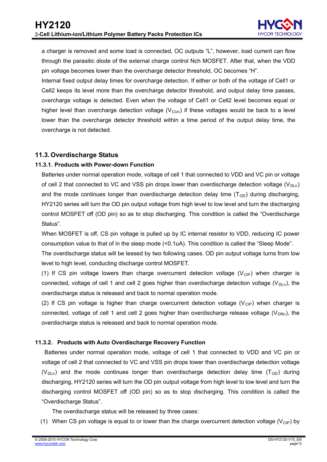a charger is removed and some load is connected, OC outputs "L", however, load current can flow through the parasitic diode of the external charge control Nch MOSFET. After that, when the VDD pin voltage becomes lower than the overcharge detector threshold, OC becomes "H".

Internal fixed output delay times for overcharge detection. If either or both of the voltage of Cell1 or Cell2 keeps its level more than the overcharge detector threshold, and output delay time passes, overcharge voltage is detected. Even when the voltage of Cell1 or Cell2 level becomes equal or higher level than overcharge detection voltage  $(V_{\text{Cln}})$  if these voltages would be back to a level lower than the overcharge detector threshold within a time period of the output delay time, the overcharge is not detected.

#### <span id="page-12-0"></span>**11.3. Overdischarge Status**

#### **11.3.1. Products with Power-down Function**

Batteries under normal operation mode, voltage of cell 1 that connected to VDD and VC pin or voltage of cell 2 that connected to VC and VSS pin drops lower than overdischarge detection voltage (V<sub>DLn</sub>) and the mode continues longer than overdischarge detection delay time  $(T_{OD})$  during discharging, HY2120 series will turn the OD pin output voltage from high level to low level and turn the discharging control MOSFET off (OD pin) so as to stop discharging. This condition is called the "Overdischarge Status".

When MOSFET is off, CS pin voltage is pulled up by IC internal resistor to VDD, reducing IC power .consumption value to that of in the sleep mode (<0.1uA). This condition is called the "Sleep Mode".

The overdischarge status will be leased by two following cases. OD pin output voltage turns from low level to high level, conducting discharge control MOSFET.

(1) If CS pin voltage lowers than charge overcurrent detection voltage  $(V_{CP})$  when charger is connected, voltage of cell 1 and cell 2 goes higher than overdischarge detection voltage ( $V_{\text{DLn}}$ ), the overdischarge status is released and back to normal operation mode.

(2) If CS pin voltage is higher than charge overcurrent detection voltage  $(V_{\text{CP}})$  when charger is connected, voltage of cell 1 and cell 2 goes higher than overdischarge release voltage ( $V_{DRn}$ ), the overdischarge status is released and back to normal operation mode.

#### **11.3.2. Products with Auto Overdischarge Recovery Function**

 Batteries under normal operation mode, voltage of cell 1 that connected to VDD and VC pin or voltage of cell 2 that connected to VC and VSS pin drops lower than overdischarge detection voltage ( $V_{DLD}$ ) and the mode continues longer than overdischarge detection delay time ( $T_{OD}$ ) during discharging, HY2120 series will turn the OD pin output voltage from high level to low level and turn the discharging control MOSFET off (OD pin) so as to stop discharging. This condition is called the "Overdischarge Status".

The overdischarge status will be released by three cases:

(1) When CS pin voltage is equal to or lower than the charge overcurrent detection voltage ( $V_{\text{CP}}$ ) by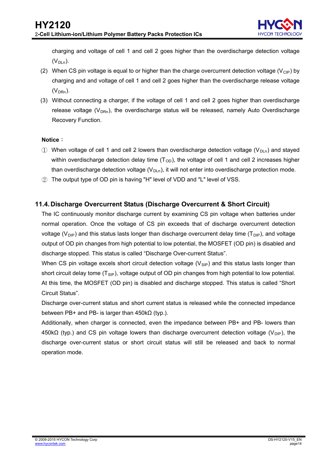charging and voltage of cell 1 and cell 2 goes higher than the overdischarge detection voltage  $(V_{DLn})$ .

- (2) When CS pin voltage is equal to or higher than the charge overcurrent detection voltage ( $V_{\text{CP}}$ ) by charging and and voltage of cell 1 and cell 2 goes higher than the overdischarge release voltage  $(V<sub>DRn</sub>)$ .
- (3) Without connecting a charger, if the voltage of cell 1 and cell 2 goes higher than overdischarge release voltage ( $V_{DRn}$ ), the overdischarge status will be released, namely Auto Overdischarge Recovery Function.

#### **Notice**:

- 1) When voltage of cell 1 and cell 2 lowers than overdischarge detection voltage ( $V_{\text{DLn}}$ ) and stayed within overdischarge detection delay time  $(T_{OD})$ , the voltage of cell 1 and cell 2 increases higher than overdischarge detection voltage  $(V_{D<sub>LD</sub>})$ , it will not enter into overdischarge protection mode.
- ② The output type of OD pin is having "H" level of VDD and "L" level of VSS.

#### <span id="page-13-0"></span>**11.4. Discharge Overcurrent Status (Discharge Overcurrent & Short Circuit)**

The IC continuously monitor discharge current by examining CS pin voltage when batteries under normal operation. Once the voltage of CS pin exceeds that of discharge overcurrent detection voltage ( $V_{\text{DIP}}$ ) and this status lasts longer than discharge overcurrent delay time (T<sub>DIP</sub>), and voltage output of OD pin changes from high potential to low potential, the MOSFET (OD pin) is disabled and discharge stopped. This status is called "Discharge Over-current Status".

When CS pin voltage excels short circuit detection voltage  $(V_{\text{SIP}})$  and this status lasts longer than short circuit delay tome  $(T_{\text{SIP}})$ , voltage output of OD pin changes from high potential to low potential. At this time, the MOSFET (OD pin) is disabled and discharge stopped. This status is called "Short Circuit Status".

Discharge over-current status and short current status is released while the connected impedance between PB+ and PB- is larger than 450kΩ (typ.).

Additionally, when charger is connected, even the impedance between PB+ and PB- lowers than 450kΩ (typ.) and CS pin voltage lowers than discharge overcurrent detection voltage (V<sub>DIP</sub>), the discharge over-current status or short circuit status will still be released and back to normal operation mode.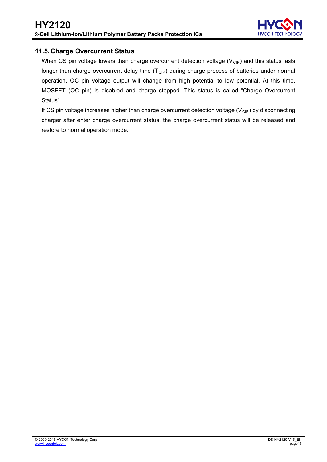

#### <span id="page-14-0"></span>**11.5. Charge Overcurrent Status**

When CS pin voltage lowers than charge overcurrent detection voltage ( $V_{\text{CP}}$ ) and this status lasts longer than charge overcurrent delay time  $(T<sub>ClP</sub>)$  during charge process of batteries under normal operation, OC pin voltage output will change from high potential to low potential. At this time, MOSFET (OC pin) is disabled and charge stopped. This status is called "Charge Overcurrent Status".

If CS pin voltage increases higher than charge overcurrent detection voltage  $(V_{CP})$  by disconnecting charger after enter charge overcurrent status, the charge overcurrent status will be released and restore to normal operation mode.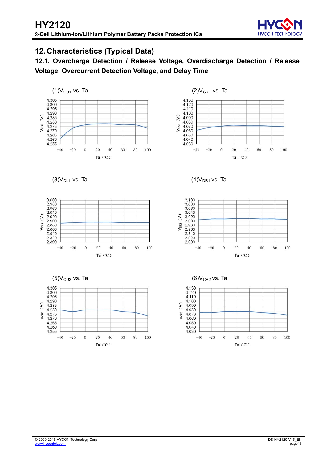

### <span id="page-15-0"></span>**12. Characteristics (Typical Data)**

**12.1. Overcharge Detection / Release Voltage, Overdischarge Detection / Release Voltage, Overcurrent Detection Voltage, and Delay Time** 



4.130 4.120  $4.110$ 4.100<br>4.090  $\hat{z}$ 4.080 Vc<sub>R1</sub> 4.070<br>4.060 4.050 4.040 4.030  $-40$  $-20$  $\ddot{\mathbf{0}}$  $\overline{20}$  $40$ 60 80 100 Ta $(C)$ 





 $(3)V_{D11}$  vs. Ta  $(4)V_{DR1}$  vs. Ta



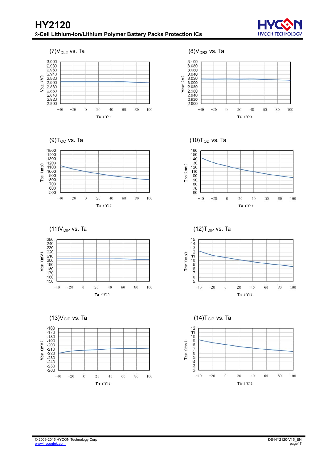













(9) $T_{\text{OC}}$  vs. Ta (10) $T_{\text{OD}}$  vs. Ta





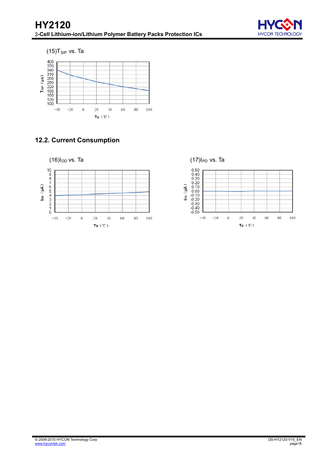





### **12.2. Current Consumption**



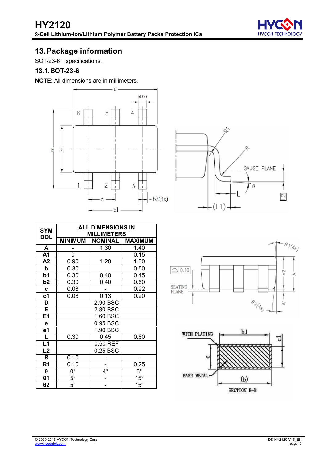

### <span id="page-18-0"></span>**13. Package information**

SOT-23-6 specifications.

#### <span id="page-18-1"></span>**13.1. SOT-23-6**

**NOTE:** All dimensions are in millimeters.





| <b>SYM</b>     |                | <b>ALL DIMENSIONS IN</b> |                |  |  |  |  |  |
|----------------|----------------|--------------------------|----------------|--|--|--|--|--|
| <b>BOL</b>     |                | <b>MILLIMETERS</b>       |                |  |  |  |  |  |
|                | <b>MINIMUM</b> | <b>NOMINAL</b>           | <b>MAXIMUM</b> |  |  |  |  |  |
| A              | 1.30<br>1.40   |                          |                |  |  |  |  |  |
| A1             | 0              |                          | 0.15           |  |  |  |  |  |
| A2             | 0.90           | 1.20                     | 1.30           |  |  |  |  |  |
| b              | 0.30           |                          | 0.50           |  |  |  |  |  |
| b <sub>1</sub> | 0.30           | 0.40                     | 0.45           |  |  |  |  |  |
| b <sub>2</sub> | 0.30           | 0.40                     | 0.50           |  |  |  |  |  |
| $\mathbf c$    | 0.08           |                          | 0.22           |  |  |  |  |  |
| c1             | 0.08           | 0.13                     | 0.20           |  |  |  |  |  |
| D              |                | $2.90$ BSC               |                |  |  |  |  |  |
| E              |                | 2.80 BSC                 |                |  |  |  |  |  |
| E1             |                | 1.60 BSC                 |                |  |  |  |  |  |
| е              |                | 0.95 BSC                 |                |  |  |  |  |  |
| e1             |                | 1.90 BSC                 |                |  |  |  |  |  |
| $\frac{L}{L1}$ | 0.30           | 0.45                     | 0.60           |  |  |  |  |  |
|                |                | 0.60 REF                 |                |  |  |  |  |  |
| L2             |                | 0.25 BSC                 |                |  |  |  |  |  |
| R              | 0.10           |                          |                |  |  |  |  |  |
| R <sub>1</sub> | 0.10           |                          | 0.25           |  |  |  |  |  |
| θ              | $0^{\circ}$    | $4^\circ$                | $8^{\circ}$    |  |  |  |  |  |
| $\theta$ 1     | $5^{\circ}$    |                          | $15^\circ$     |  |  |  |  |  |
| θ2             | $5^{\circ}$    |                          | $15^{\circ}$   |  |  |  |  |  |



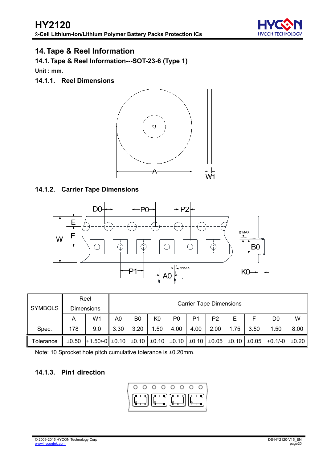

### <span id="page-19-0"></span>**14. Tape & Reel Information**

<span id="page-19-1"></span>**14.1. Tape & Reel Information---SOT-23-6 (Type 1)** 

**Unit : mm**.

**14.1.1. Reel Dimensions** 



#### **14.1.2. Carrier Tape Dimensions**



|                |       | Reel                                                                             |      |                |      |      | <b>Carrier Tape Dimensions</b> |                |      |                       |           |       |  |  |
|----------------|-------|----------------------------------------------------------------------------------|------|----------------|------|------|--------------------------------|----------------|------|-----------------------|-----------|-------|--|--|
| <b>SYMBOLS</b> |       | <b>Dimensions</b>                                                                |      |                |      |      |                                |                |      |                       |           |       |  |  |
|                | Α     | W1                                                                               | A0   | B <sub>0</sub> | K0   | P0   | P <sub>1</sub>                 | P <sub>2</sub> | Е    |                       | D0        | W     |  |  |
| Spec.          | 178   | 9.0                                                                              | 3.30 | 3.20           | 1.50 | 4.00 | 4.00                           | 2.00           | 1.75 | 3.50                  | 1.50      | 8.00  |  |  |
| Tolerance      | ±0.50 | $+1.50/-0$ ± 0.10 $\pm 0.10$ + $\pm 0.10$ + $\pm 0.10$ + $\pm 0.10$ + $\pm 0.05$ |      |                |      |      |                                |                |      | $\pm 0.10$ $\pm 0.05$ | $+0.1/-0$ | ±0.20 |  |  |

Note: 10 Sprocket hole pitch cumulative tolerance is ±0.20mm.

### **14.1.3. Pin1 direction**

$$
\left(\begin{array}{cccccc|cc} \circ & \circ & \circ & \circ & \circ & \circ & \circ & \circ & \circ \\ \hline \circ & \bullet & \bullet & \circ & \circ & \circ & \circ & \circ & \circ \\ \hline \circ & \bullet & \bullet & \circ & \circ & \circ & \circ & \circ \\ \hline \circ & \bullet & \bullet & \circ & \circ & \circ & \circ & \circ \end{array}\right)
$$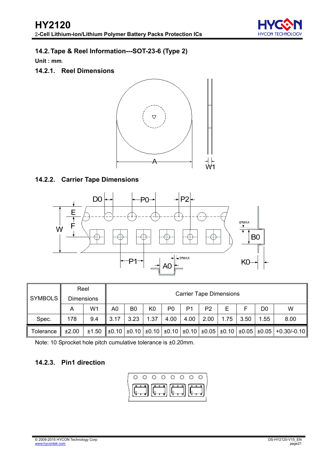

### <span id="page-20-0"></span>**14.2.Tape & Reel Information---SOT-23-6 (Type 2)**

**Unit : mm**.

### **14.2.1. Reel Dimensions**



#### **14.2.2. Carrier Tape Dimensions**



| SYMBOLS          |       | Reel              |      | <b>Carrier Tape Dimensions</b> |                |      |      |                |      |      |      |                                                                                                                                 |
|------------------|-------|-------------------|------|--------------------------------|----------------|------|------|----------------|------|------|------|---------------------------------------------------------------------------------------------------------------------------------|
|                  |       | <b>Dimensions</b> |      |                                |                |      |      |                |      |      |      |                                                                                                                                 |
|                  | A     | W1                | A0   | B <sub>0</sub>                 | K <sub>0</sub> | P0   | P1   | P <sub>2</sub> | Е    |      | D0   | W                                                                                                                               |
| Spec.            | 178   | 9.4               | 3.17 | 3.23                           | 1.37           | 4.00 | 4.00 | 2.00           | 1.75 | 3.50 | 1.55 | 8.00                                                                                                                            |
| <b>Tolerance</b> | ±2.00 | ±1.50             |      |                                |                |      |      |                |      |      |      | $\pm 0.10$ $\pm 0.10$ $\pm 0.10$ $\pm 0.10$ $\pm 0.10$ $\pm 0.05$ $\pm 0.05$ $\pm 0.05$ $\pm 0.05$ $\pm 0.05$ $\pm 0.30$ /-0.10 |

Note: 10 Sprocket hole pitch cumulative tolerance is ±0.20mm.

### **14.2.3. Pin1 direction**